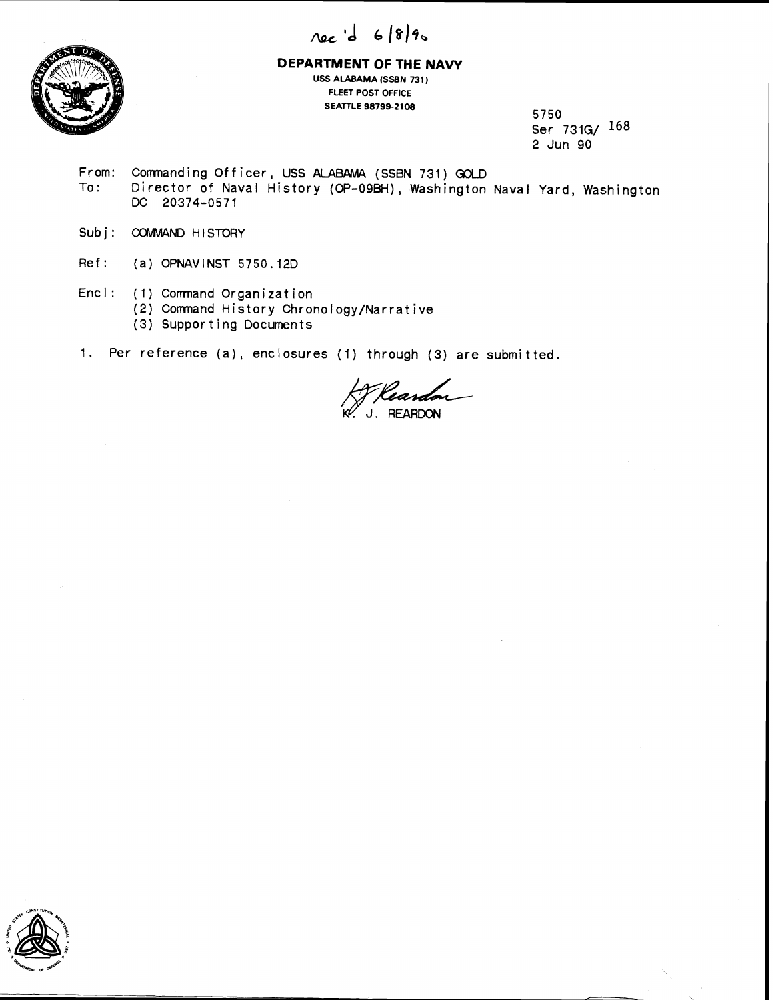



## **DEPARTMENT OF THE NAVY USS ALABAMA (SSBN 731) FLEET POST OFFICE SEATTLE 98799-21 08**

**5750 Ser 731G/ 168 2 Jun 90** 

- **From: Commanding Officer, USS ALABAMA (SSBN 731) GOLD**<br>To: Director of Naval History (OP-09BH). Washington **To: Director of Naval History (OP-OSBH), Washington Naval Yard, Washington**  DC **20374-0571**
- Subj: COMMAND HISTORY
- **Ref: (a) OPNAVINST 5750.12D**
- **Encl: (1) Comnand Organization** 
	- **(2) Comnand History Chronology/Narrative**
	- **(3) Supporting Documents**
- **1. Per reference (a), enclosures (I) through (3) are submitted.**

Keardon

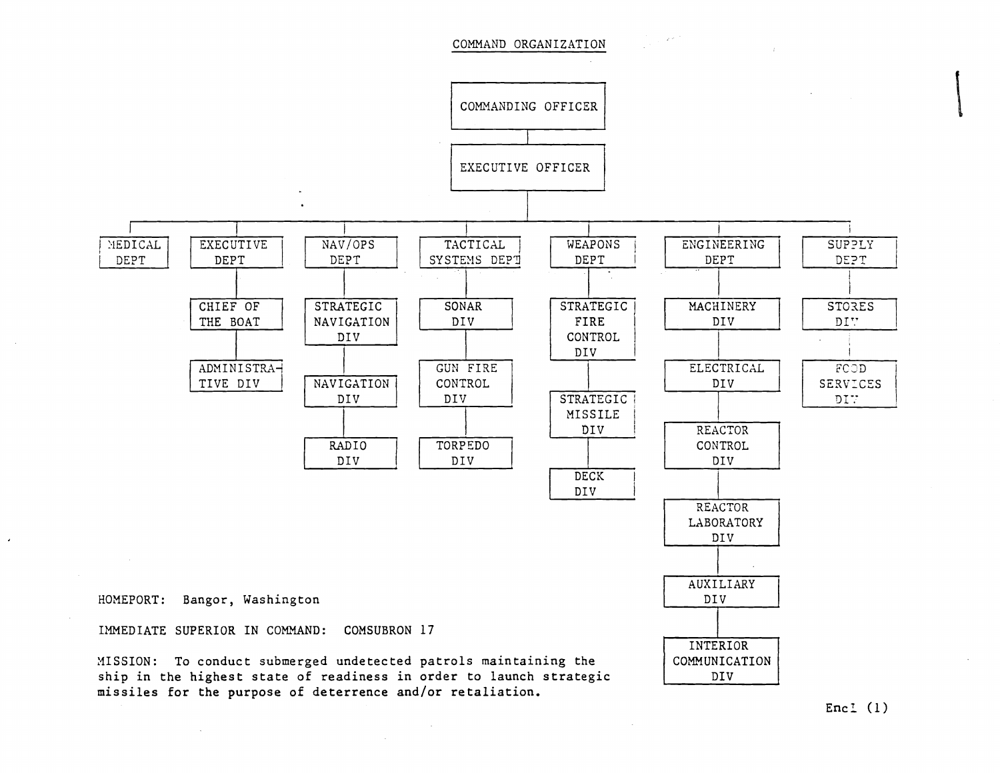COMNAND ORGANIZATION



Encl  $(1)$